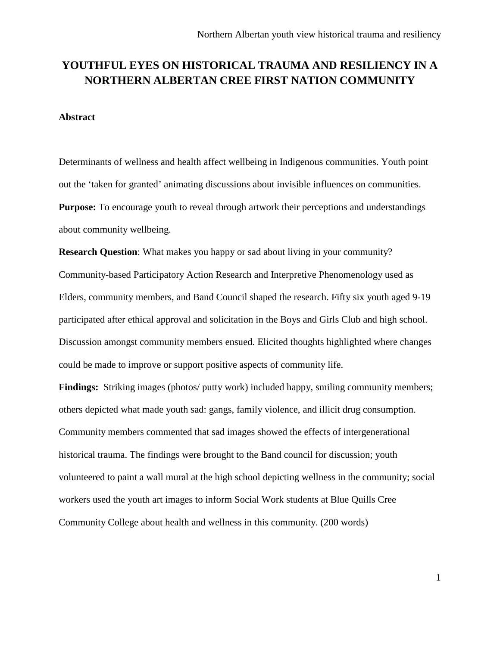# **YOUTHFUL EYES ON HISTORICAL TRAUMA AND RESILIENCY IN A NORTHERN ALBERTAN CREE FIRST NATION COMMUNITY**

### **Abstract**

Determinants of wellness and health affect wellbeing in Indigenous communities. Youth point out the 'taken for granted' animating discussions about invisible influences on communities. **Purpose:** To encourage youth to reveal through artwork their perceptions and understandings about community wellbeing.

**Research Question**: What makes you happy or sad about living in your community? Community-based Participatory Action Research and Interpretive Phenomenology used as Elders, community members, and Band Council shaped the research. Fifty six youth aged 9-19 participated after ethical approval and solicitation in the Boys and Girls Club and high school. Discussion amongst community members ensued. Elicited thoughts highlighted where changes could be made to improve or support positive aspects of community life.

**Findings:** Striking images (photos/ putty work) included happy, smiling community members; others depicted what made youth sad: gangs, family violence, and illicit drug consumption. Community members commented that sad images showed the effects of intergenerational historical trauma. The findings were brought to the Band council for discussion; youth volunteered to paint a wall mural at the high school depicting wellness in the community; social workers used the youth art images to inform Social Work students at Blue Quills Cree Community College about health and wellness in this community. (200 words)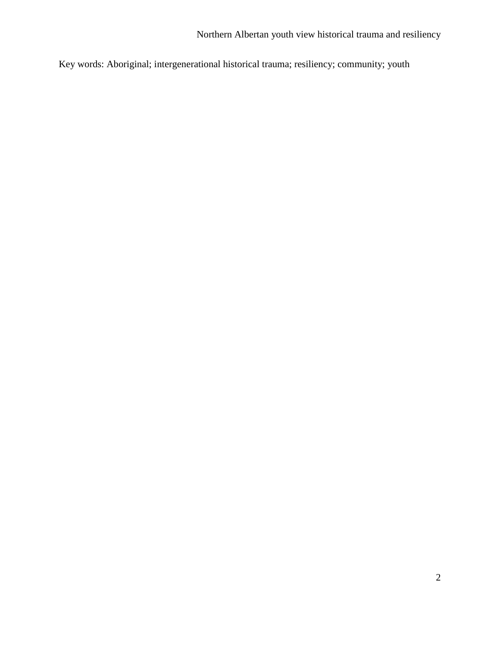Key words: Aboriginal; intergenerational historical trauma; resiliency; community; youth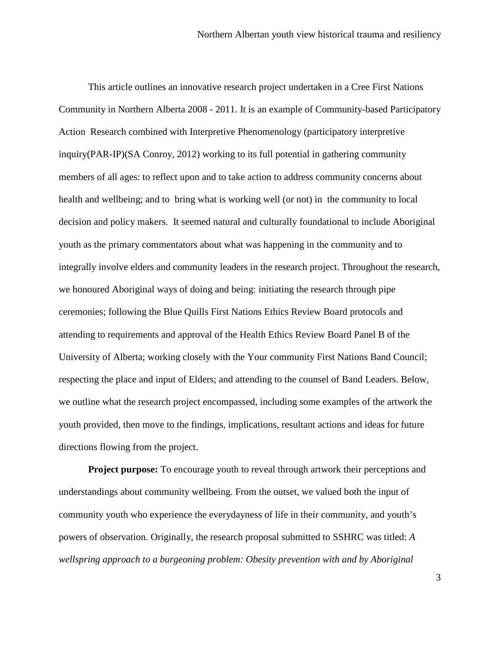This article outlines an innovative research project undertaken in a Cree First Nations Community in Northern Alberta 2008 - 2011. It is an example of Community-based Participatory Action Research combined with Interpretive Phenomenology (participatory interpretive inquiry(PAR-IP)[\(SA Conroy, 2012\)](#page-17-0) working to its full potential in gathering community members of all ages: to reflect upon and to take action to address community concerns about health and wellbeing; and to bring what is working well (or not) in the community to local decision and policy makers. It seemed natural and culturally foundational to include Aboriginal youth as the primary commentators about what was happening in the community and to integrally involve elders and community leaders in the research project. Throughout the research, we honoured Aboriginal ways of doing and being: initiating the research through pipe ceremonies; following the Blue Quills First Nations Ethics Review Board protocols and attending to requirements and approval of the Health Ethics Review Board Panel B of the University of Alberta; working closely with the Your community First Nations Band Council; respecting the place and input of Elders; and attending to the counsel of Band Leaders. Below, we outline what the research project encompassed, including some examples of the artwork the youth provided, then move to the findings, implications, resultant actions and ideas for future directions flowing from the project.

**Project purpose:** To encourage youth to reveal through artwork their perceptions and understandings about community wellbeing. From the outset, we valued both the input of community youth who experience the everydayness of life in their community, and youth's powers of observation. Originally, the research proposal submitted to SSHRC was titled: *A wellspring approach to a burgeoning problem: Obesity prevention with and by Aboriginal*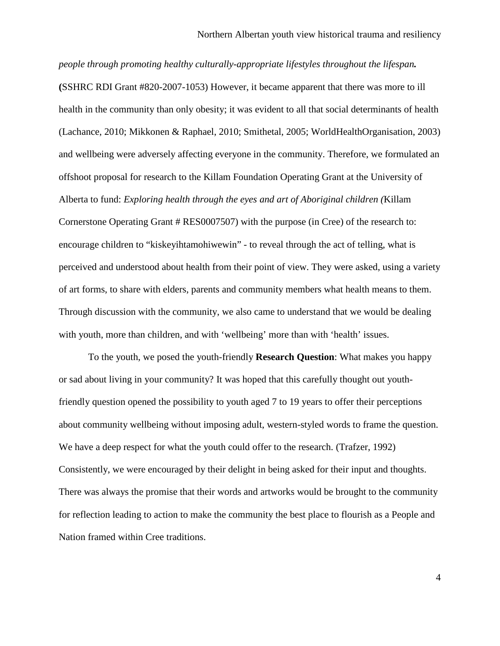*people through promoting healthy culturally-appropriate lifestyles throughout the lifespan.* **(**SSHRC RDI Grant #820-2007-1053) However, it became apparent that there was more to ill health in the community than only obesity; it was evident to all that social determinants of health [\(Lachance, 2010;](#page-18-0) [Mikkonen & Raphael, 2010;](#page-18-1) [Smithetal, 2005;](#page-18-2) [WorldHealthOrganisation, 2003\)](#page-19-0) and wellbeing were adversely affecting everyone in the community. Therefore, we formulated an offshoot proposal for research to the Killam Foundation Operating Grant at the University of Alberta to fund: *Exploring health through the eyes and art of Aboriginal children (*Killam Cornerstone Operating Grant # RES0007507) with the purpose (in Cree) of the research to: encourage children to "kiskeyihtamohiwewin" - to reveal through the act of telling, what is perceived and understood about health from their point of view. They were asked, using a variety of art forms, to share with elders, parents and community members what health means to them. Through discussion with the community, we also came to understand that we would be dealing with youth, more than children, and with 'wellbeing' more than with 'health' issues.

To the youth, we posed the youth-friendly **Research Question**: What makes you happy or sad about living in your community? It was hoped that this carefully thought out youthfriendly question opened the possibility to youth aged 7 to 19 years to offer their perceptions about community wellbeing without imposing adult, western-styled words to frame the question. We have a deep respect for what the youth could offer to the research. [\(Trafzer, 1992\)](#page-18-3) Consistently, we were encouraged by their delight in being asked for their input and thoughts. There was always the promise that their words and artworks would be brought to the community for reflection leading to action to make the community the best place to flourish as a People and Nation framed within Cree traditions.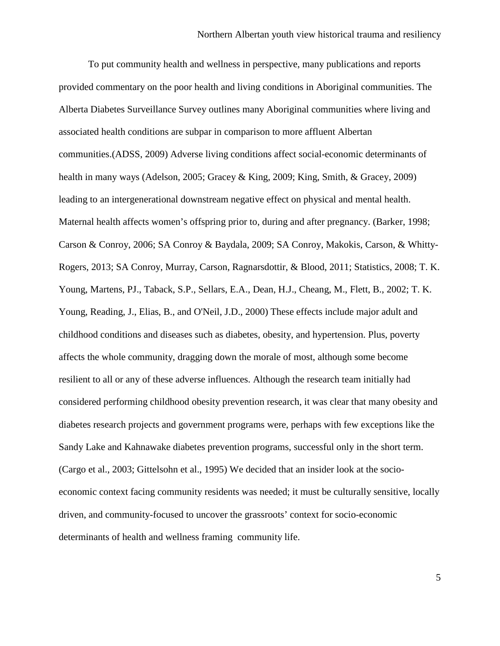To put community health and wellness in perspective, many publications and reports provided commentary on the poor health and living conditions in Aboriginal communities. The Alberta Diabetes Surveillance Survey outlines many Aboriginal communities where living and associated health conditions are subpar in comparison to more affluent Albertan communities.[\(ADSS, 2009\)](#page-17-1) Adverse living conditions affect social-economic determinants of health in many ways [\(Adelson, 2005;](#page-17-2) [Gracey & King, 2009;](#page-18-4) [King, Smith, & Gracey, 2009\)](#page-18-5) leading to an intergenerational downstream negative effect on physical and mental health. Maternal health affects women's offspring prior to, during and after pregnancy. [\(Barker, 1998;](#page-17-3) [Carson & Conroy, 2006;](#page-17-4) [SA Conroy & Baydala, 2009;](#page-17-5) [SA Conroy, Makokis, Carson, & Whitty-](#page-17-6)[Rogers, 2013;](#page-17-6) [SA Conroy, Murray, Carson, Ragnarsdottir, & Blood, 2011;](#page-17-7) [Statistics, 2008;](#page-18-6) [T. K.](#page-19-1)  [Young, Martens, PJ., Taback, S.P., Sellars, E.A., Dean, H.J., Cheang, M., Flett, B., 2002;](#page-19-1) [T. K.](#page-19-2)  [Young, Reading, J., Elias, B., and O'Neil, J.D., 2000\)](#page-19-2) These effects include major adult and childhood conditions and diseases such as diabetes, obesity, and hypertension. Plus, poverty affects the whole community, dragging down the morale of most, although some become resilient to all or any of these adverse influences. Although the research team initially had considered performing childhood obesity prevention research, it was clear that many obesity and diabetes research projects and government programs were, perhaps with few exceptions like the Sandy Lake and Kahnawake diabetes prevention programs, successful only in the short term. [\(Cargo et al., 2003;](#page-17-8) [Gittelsohn et al., 1995\)](#page-18-7) We decided that an insider look at the socioeconomic context facing community residents was needed; it must be culturally sensitive, locally driven, and community-focused to uncover the grassroots' context for socio-economic determinants of health and wellness framing community life.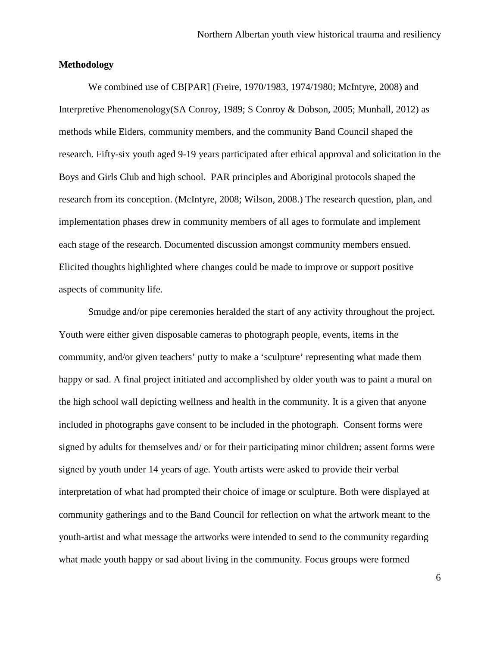### **Methodology**

We combined use of CB[PAR] [\(Freire, 1970/1983,](#page-18-8) [1974/1980;](#page-18-9) [McIntyre, 2008\)](#page-18-10) and Interpretive Phenomenology[\(SA Conroy, 1989;](#page-17-9) [S Conroy & Dobson, 2005;](#page-17-10) [Munhall, 2012\)](#page-18-11) as methods while Elders, community members, and the community Band Council shaped the research. Fifty-six youth aged 9-19 years participated after ethical approval and solicitation in the Boys and Girls Club and high school. PAR principles and Aboriginal protocols shaped the research from its conception. [\(McIntyre, 2008;](#page-18-10) [Wilson, 2008.\)](#page-19-3) The research question, plan, and implementation phases drew in community members of all ages to formulate and implement each stage of the research. Documented discussion amongst community members ensued. Elicited thoughts highlighted where changes could be made to improve or support positive aspects of community life.

Smudge and/or pipe ceremonies heralded the start of any activity throughout the project. Youth were either given disposable cameras to photograph people, events, items in the community, and/or given teachers' putty to make a 'sculpture' representing what made them happy or sad. A final project initiated and accomplished by older youth was to paint a mural on the high school wall depicting wellness and health in the community. It is a given that anyone included in photographs gave consent to be included in the photograph. Consent forms were signed by adults for themselves and/ or for their participating minor children; assent forms were signed by youth under 14 years of age. Youth artists were asked to provide their verbal interpretation of what had prompted their choice of image or sculpture. Both were displayed at community gatherings and to the Band Council for reflection on what the artwork meant to the youth-artist and what message the artworks were intended to send to the community regarding what made youth happy or sad about living in the community. Focus groups were formed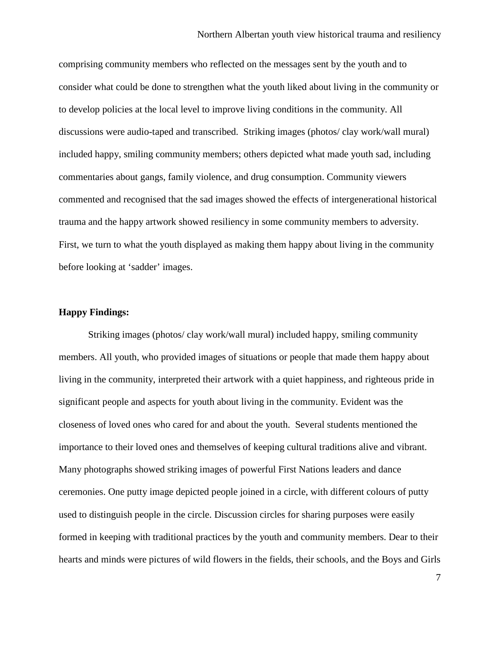comprising community members who reflected on the messages sent by the youth and to consider what could be done to strengthen what the youth liked about living in the community or to develop policies at the local level to improve living conditions in the community. All discussions were audio-taped and transcribed. Striking images (photos/ clay work/wall mural) included happy, smiling community members; others depicted what made youth sad, including commentaries about gangs, family violence, and drug consumption. Community viewers commented and recognised that the sad images showed the effects of intergenerational historical trauma and the happy artwork showed resiliency in some community members to adversity. First, we turn to what the youth displayed as making them happy about living in the community before looking at 'sadder' images.

### **Happy Findings:**

Striking images (photos/ clay work/wall mural) included happy, smiling community members. All youth, who provided images of situations or people that made them happy about living in the community, interpreted their artwork with a quiet happiness, and righteous pride in significant people and aspects for youth about living in the community. Evident was the closeness of loved ones who cared for and about the youth. Several students mentioned the importance to their loved ones and themselves of keeping cultural traditions alive and vibrant. Many photographs showed striking images of powerful First Nations leaders and dance ceremonies. One putty image depicted people joined in a circle, with different colours of putty used to distinguish people in the circle. Discussion circles for sharing purposes were easily formed in keeping with traditional practices by the youth and community members. Dear to their hearts and minds were pictures of wild flowers in the fields, their schools, and the Boys and Girls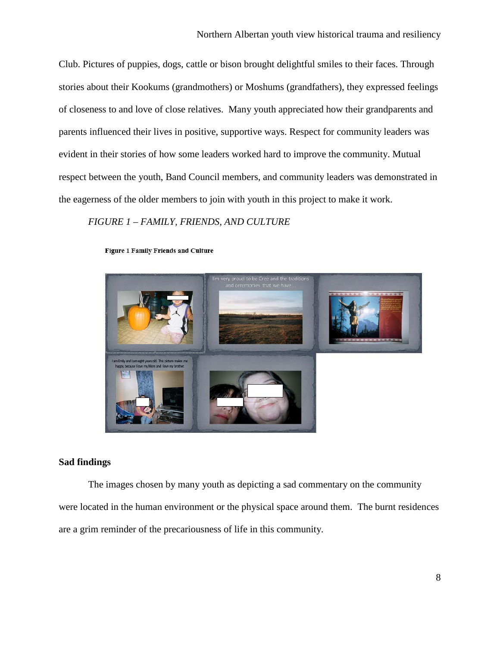Club. Pictures of puppies, dogs, cattle or bison brought delightful smiles to their faces. Through stories about their Kookums (grandmothers) or Moshums (grandfathers), they expressed feelings of closeness to and love of close relatives. Many youth appreciated how their grandparents and parents influenced their lives in positive, supportive ways. Respect for community leaders was evident in their stories of how some leaders worked hard to improve the community. Mutual respect between the youth, Band Council members, and community leaders was demonstrated in the eagerness of the older members to join with youth in this project to make it work.

### *FIGURE 1 – FAMILY, FRIENDS, AND CULTURE*



**Figure 1 Family Friends and Culture** 

### **Sad findings**

The images chosen by many youth as depicting a sad commentary on the community were located in the human environment or the physical space around them. The burnt residences are a grim reminder of the precariousness of life in this community.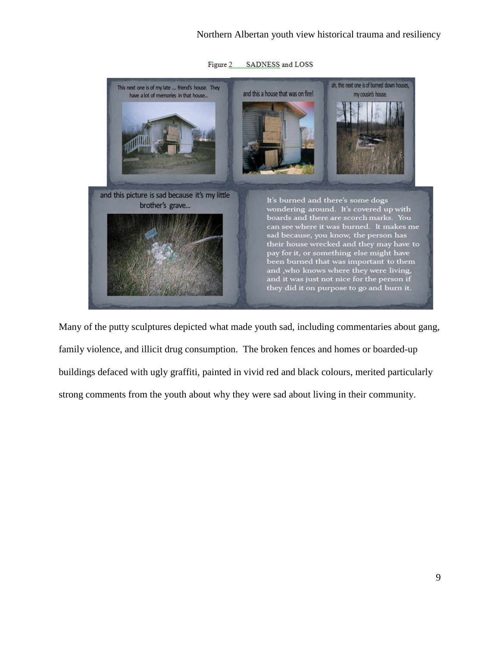### Northern Albertan youth view historical trauma and resiliency



Figure 2. SADNESS and LOSS

Many of the putty sculptures depicted what made youth sad, including commentaries about gang, family violence, and illicit drug consumption. The broken fences and homes or boarded-up buildings defaced with ugly graffiti, painted in vivid red and black colours, merited particularly strong comments from the youth about why they were sad about living in their community.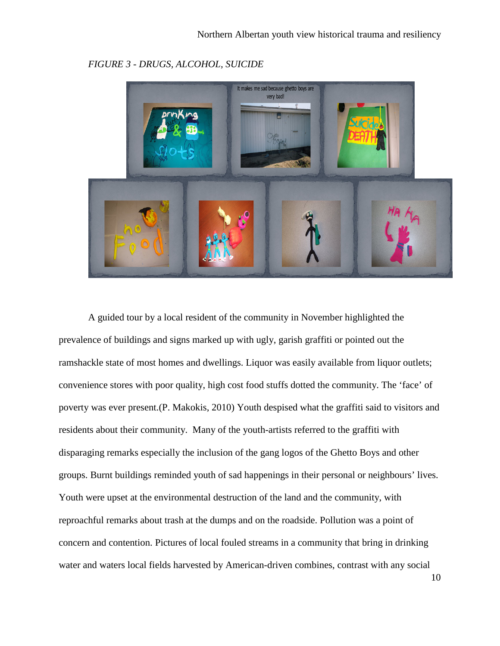

*FIGURE 3 - DRUGS, ALCOHOL, SUICIDE* 

A guided tour by a local resident of the community in November highlighted the prevalence of buildings and signs marked up with ugly, garish graffiti or pointed out the ramshackle state of most homes and dwellings. Liquor was easily available from liquor outlets; convenience stores with poor quality, high cost food stuffs dotted the community. The 'face' of poverty was ever present.[\(P. Makokis, 2010\)](#page-18-12) Youth despised what the graffiti said to visitors and residents about their community. Many of the youth-artists referred to the graffiti with disparaging remarks especially the inclusion of the gang logos of the Ghetto Boys and other groups. Burnt buildings reminded youth of sad happenings in their personal or neighbours' lives. Youth were upset at the environmental destruction of the land and the community, with reproachful remarks about trash at the dumps and on the roadside. Pollution was a point of concern and contention. Pictures of local fouled streams in a community that bring in drinking water and waters local fields harvested by American-driven combines, contrast with any social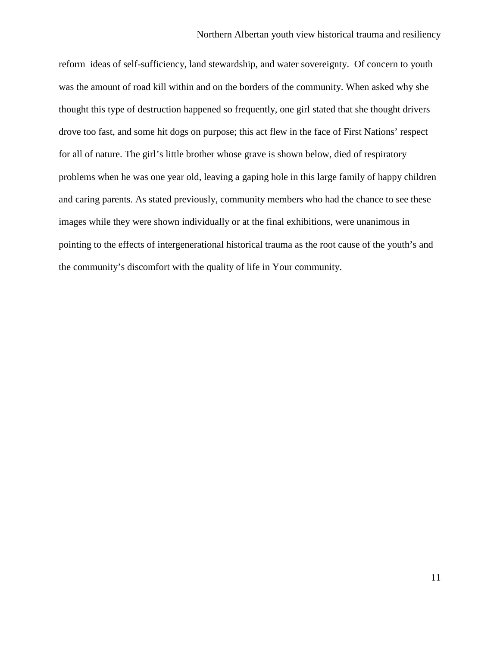reform ideas of self-sufficiency, land stewardship, and water sovereignty. Of concern to youth was the amount of road kill within and on the borders of the community. When asked why she thought this type of destruction happened so frequently, one girl stated that she thought drivers drove too fast, and some hit dogs on purpose; this act flew in the face of First Nations' respect for all of nature. The girl's little brother whose grave is shown below, died of respiratory problems when he was one year old, leaving a gaping hole in this large family of happy children and caring parents. As stated previously, community members who had the chance to see these images while they were shown individually or at the final exhibitions, were unanimous in pointing to the effects of intergenerational historical trauma as the root cause of the youth's and the community's discomfort with the quality of life in Your community.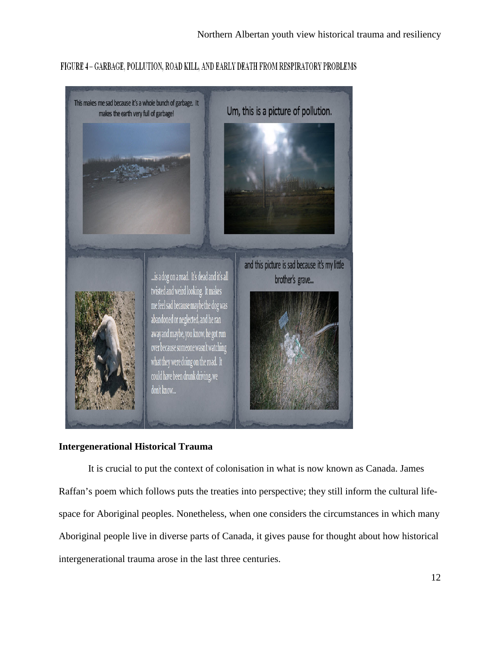# FIGURE 4-GARBAGE, POLLUTION, ROAD KILL, AND EARLY DEATH FROM RESPIRATORY PROBLEMS



## **Intergenerational Historical Trauma**

It is crucial to put the context of colonisation in what is now known as Canada. James Raffan's poem which follows puts the treaties into perspective; they still inform the cultural lifespace for Aboriginal peoples. Nonetheless, when one considers the circumstances in which many Aboriginal people live in diverse parts of Canada, it gives pause for thought about how historical intergenerational trauma arose in the last three centuries.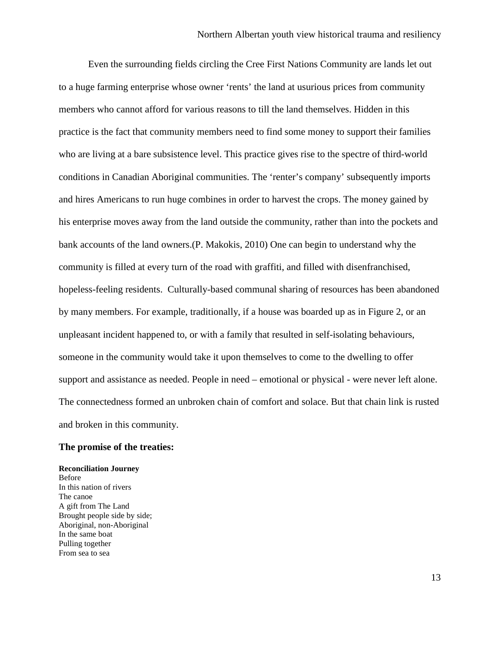Even the surrounding fields circling the Cree First Nations Community are lands let out to a huge farming enterprise whose owner 'rents' the land at usurious prices from community members who cannot afford for various reasons to till the land themselves. Hidden in this practice is the fact that community members need to find some money to support their families who are living at a bare subsistence level. This practice gives rise to the spectre of third-world conditions in Canadian Aboriginal communities. The 'renter's company' subsequently imports and hires Americans to run huge combines in order to harvest the crops. The money gained by his enterprise moves away from the land outside the community, rather than into the pockets and bank accounts of the land owners.[\(P. Makokis, 2010\)](#page-18-12) One can begin to understand why the community is filled at every turn of the road with graffiti, and filled with disenfranchised, hopeless-feeling residents. Culturally-based communal sharing of resources has been abandoned by many members. For example, traditionally, if a house was boarded up as in Figure 2, or an unpleasant incident happened to, or with a family that resulted in self-isolating behaviours, someone in the community would take it upon themselves to come to the dwelling to offer support and assistance as needed. People in need – emotional or physical - were never left alone. The connectedness formed an unbroken chain of comfort and solace. But that chain link is rusted and broken in this community.

### **The promise of the treaties:**

#### **Reconciliation Journey**

Before In this nation of rivers The canoe A gift from The Land Brought people side by side; Aboriginal, non-Aboriginal In the same boat Pulling together From sea to sea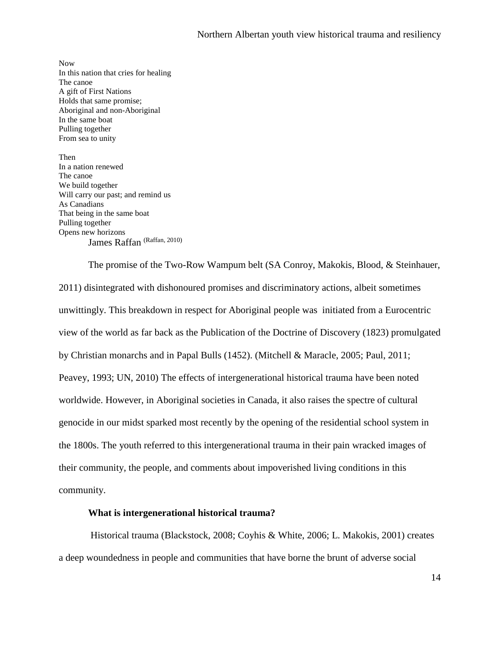Now In this nation that cries for healing The canoe A gift of First Nations Holds that same promise; Aboriginal and non-Aboriginal In the same boat Pulling together From sea to unity

Then In a nation renewed The canoe We build together Will carry our past; and remind us As Canadians That being in the same boat Pulling together Opens new horizons James Raffan [\(Raffan, 2010\)](#page-18-13)

The promise of the Two-Row Wampum belt [\(SA Conroy, Makokis, Blood, & Steinhauer,](#page-17-11)  [2011\)](#page-17-11) disintegrated with dishonoured promises and discriminatory actions, albeit sometimes unwittingly. This breakdown in respect for Aboriginal people was initiated from a Eurocentric view of the world as far back as the Publication of the Doctrine of Discovery (1823) promulgated by Christian monarchs and in Papal Bulls (1452). [\(Mitchell & Maracle, 2005;](#page-18-14) [Paul, 2011;](#page-18-15) [Peavey, 1993;](#page-18-16) [UN, 2010\)](#page-19-4) The effects of intergenerational historical trauma have been noted worldwide. However, in Aboriginal societies in Canada, it also raises the spectre of cultural genocide in our midst sparked most recently by the opening of the residential school system in the 1800s. The youth referred to this intergenerational trauma in their pain wracked images of their community, the people, and comments about impoverished living conditions in this community.

### **What is intergenerational historical trauma?**

Historical trauma [\(Blackstock, 2008;](#page-17-12) [Coyhis & White, 2006;](#page-17-13) [L. Makokis, 2001\)](#page-18-17) creates a deep woundedness in people and communities that have borne the brunt of adverse social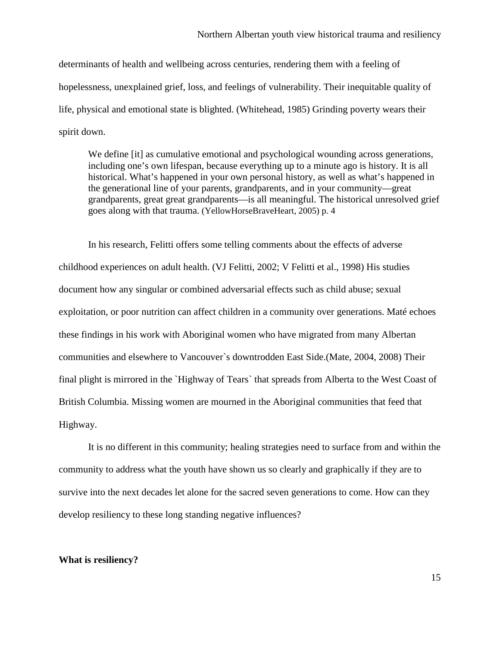determinants of health and wellbeing across centuries, rendering them with a feeling of hopelessness, unexplained grief, loss, and feelings of vulnerability. Their inequitable quality of life, physical and emotional state is blighted. [\(Whitehead, 1985\)](#page-19-5) Grinding poverty wears their spirit down.

We define [it] as cumulative emotional and psychological wounding across generations, including one's own lifespan, because everything up to a minute ago is history. It is all historical. What's happened in your own personal history, as well as what's happened in the generational line of your parents, grandparents, and in your community—great grandparents, great great grandparents––is all meaningful. The historical unresolved grief goes along with that trauma. [\(YellowHorseBraveHeart, 2005\)](#page-19-6) p. 4

In his research, Felitti offers some telling comments about the effects of adverse childhood experiences on adult health. [\(VJ Felitti, 2002;](#page-17-14) [V Felitti et al., 1998\)](#page-18-18) His studies document how any singular or combined adversarial effects such as child abuse; sexual exploitation, or poor nutrition can affect children in a community over generations. Maté echoes these findings in his work with Aboriginal women who have migrated from many Albertan communities and elsewhere to Vancouver`s downtrodden East Side.[\(Mate, 2004,](#page-18-19) [2008\)](#page-18-20) Their final plight is mirrored in the `Highway of Tears` that spreads from Alberta to the West Coast of British Columbia. Missing women are mourned in the Aboriginal communities that feed that Highway.

It is no different in this community; healing strategies need to surface from and within the community to address what the youth have shown us so clearly and graphically if they are to survive into the next decades let alone for the sacred seven generations to come. How can they develop resiliency to these long standing negative influences?

### **What is resiliency?**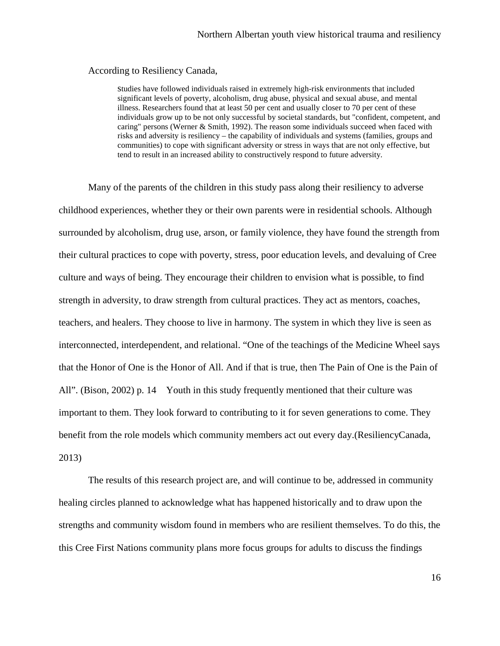#### According to Resiliency Canada,

studies have followed individuals raised in extremely high-risk environments that included significant levels of poverty, alcoholism, drug abuse, physical and sexual abuse, and mental illness. Researchers found that at least 50 per cent and usually closer to 70 per cent of these individuals grow up to be not only successful by societal standards, but "confident, competent, and caring" persons (Werner & Smith, 1992). The reason some individuals succeed when faced with risks and adversity is resiliency – the capability of individuals and systems (families, groups and communities) to cope with significant adversity or stress in ways that are not only effective, but tend to result in an increased ability to constructively respond to future adversity.

Many of the parents of the children in this study pass along their resiliency to adverse childhood experiences, whether they or their own parents were in residential schools. Although surrounded by alcoholism, drug use, arson, or family violence, they have found the strength from their cultural practices to cope with poverty, stress, poor education levels, and devaluing of Cree culture and ways of being. They encourage their children to envision what is possible, to find strength in adversity, to draw strength from cultural practices. They act as mentors, coaches, teachers, and healers. They choose to live in harmony. The system in which they live is seen as interconnected, interdependent, and relational. "One of the teachings of the Medicine Wheel says that the Honor of One is the Honor of All. And if that is true, then The Pain of One is the Pain of All". [\(Bison, 2002\)](#page-17-15) p. 14 Youth in this study frequently mentioned that their culture was important to them. They look forward to contributing to it for seven generations to come. They benefit from the role models which community members act out every day.[\(ResiliencyCanada,](#page-18-21)  [2013\)](#page-18-21)

The results of this research project are, and will continue to be, addressed in community healing circles planned to acknowledge what has happened historically and to draw upon the strengths and community wisdom found in members who are resilient themselves. To do this, the this Cree First Nations community plans more focus groups for adults to discuss the findings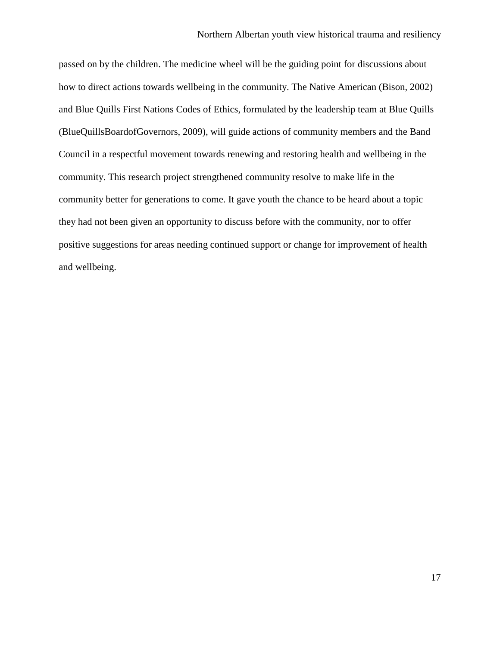passed on by the children. The medicine wheel will be the guiding point for discussions about how to direct actions towards wellbeing in the community. The Native American [\(Bison, 2002\)](#page-17-15) and Blue Quills First Nations Codes of Ethics, formulated by the leadership team at Blue Quills [\(BlueQuillsBoardofGovernors, 2009\)](#page-17-16), will guide actions of community members and the Band Council in a respectful movement towards renewing and restoring health and wellbeing in the community. This research project strengthened community resolve to make life in the community better for generations to come. It gave youth the chance to be heard about a topic they had not been given an opportunity to discuss before with the community, nor to offer positive suggestions for areas needing continued support or change for improvement of health and wellbeing.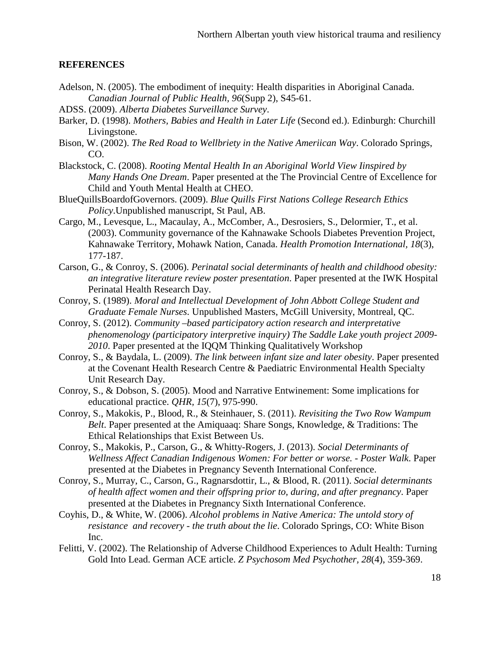### **REFERENCES**

- <span id="page-17-2"></span>Adelson, N. (2005). The embodiment of inequity: Health disparities in Aboriginal Canada. *Canadian Journal of Public Health, 96*(Supp 2), S45-61.
- <span id="page-17-1"></span>ADSS. (2009). *Alberta Diabetes Surveillance Survey*.
- <span id="page-17-3"></span>Barker, D. (1998). *Mothers, Babies and Health in Later Life* (Second ed.). Edinburgh: Churchill Livingstone.
- <span id="page-17-15"></span>Bison, W. (2002). *The Red Road to Wellbriety in the Native Ameriican Way*. Colorado Springs, CO.
- <span id="page-17-12"></span>Blackstock, C. (2008). *Rooting Mental Health In an Aboriginal World View Iinspired by Many Hands One Dream*. Paper presented at the The Provincial Centre of Excellence for Child and Youth Mental Health at CHEO.
- <span id="page-17-16"></span>BlueQuillsBoardofGovernors. (2009). *Blue Quills First Nations College Research Ethics Policy*.Unpublished manuscript, St Paul, AB.
- <span id="page-17-8"></span>Cargo, M., Levesque, L., Macaulay, A., McComber, A., Desrosiers, S., Delormier, T., et al. (2003). Community governance of the Kahnawake Schools Diabetes Prevention Project, Kahnawake Territory, Mohawk Nation, Canada. *Health Promotion International, 18*(3), 177-187.
- <span id="page-17-4"></span>Carson, G., & Conroy, S. (2006). *Perinatal social determinants of health and childhood obesity: an integrative literature review poster presentation*. Paper presented at the IWK Hospital Perinatal Health Research Day.
- <span id="page-17-9"></span>Conroy, S. (1989). *Moral and Intellectual Development of John Abbott College Student and Graduate Female Nurses.* Unpublished Masters, McGill University, Montreal, QC.
- <span id="page-17-0"></span>Conroy, S. (2012). *Community –based participatory action research and interpretative phenomenology (participatory interpretive inquiry) The Saddle Lake youth project 2009- 2010*. Paper presented at the IQQM Thinking Qualitatively Workshop
- <span id="page-17-5"></span>Conroy, S., & Baydala, L. (2009). *The link between infant size and later obesity*. Paper presented at the Covenant Health Research Centre & Paediatric Environmental Health Specialty Unit Research Day.
- <span id="page-17-10"></span>Conroy, S., & Dobson, S. (2005). Mood and Narrative Entwinement: Some implications for educational practice. *QHR, 15*(7), 975-990.
- <span id="page-17-11"></span>Conroy, S., Makokis, P., Blood, R., & Steinhauer, S. (2011). *Revisiting the Two Row Wampum Belt*. Paper presented at the Amiquaaq: Share Songs, Knowledge, & Traditions: The Ethical Relationships that Exist Between Us.
- <span id="page-17-6"></span>Conroy, S., Makokis, P., Carson, G., & Whitty-Rogers, J. (2013). *Social Determinants of Wellness Affect Canadian Indigenous Women: For better or worse. - Poster Walk*. Paper presented at the Diabetes in Pregnancy Seventh International Conference.
- <span id="page-17-7"></span>Conroy, S., Murray, C., Carson, G., Ragnarsdottir, L., & Blood, R. (2011). *Social determinants of health affect women and their offspring prior to, during, and after pregnancy*. Paper presented at the Diabetes in Pregnancy Sixth International Conference.
- <span id="page-17-13"></span>Coyhis, D., & White, W. (2006). *Alcohol problems in Native America: The untold story of resistance and recovery - the truth about the lie*. Colorado Springs, CO: White Bison Inc.
- <span id="page-17-14"></span>Felitti, V. (2002). The Relationship of Adverse Childhood Experiences to Adult Health: Turning Gold Into Lead. German ACE article. *Z Psychosom Med Psychother, 28*(4), 359-369.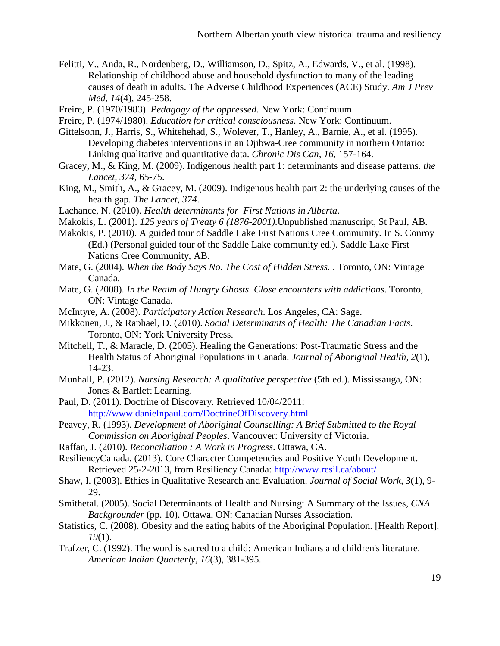- <span id="page-18-18"></span>Felitti, V., Anda, R., Nordenberg, D., Williamson, D., Spitz, A., Edwards, V., et al. (1998). Relationship of childhood abuse and household dysfunction to many of the leading causes of death in adults. The Adverse Childhood Experiences (ACE) Study. *Am J Prev Med, 14*(4), 245-258.
- <span id="page-18-8"></span>Freire, P. (1970/1983). *Pedagogy of the oppressed.* New York: Continuum.
- <span id="page-18-9"></span>Freire, P. (1974/1980). *Education for critical consciousness*. New York: Continuum.
- <span id="page-18-7"></span>Gittelsohn, J., Harris, S., Whitehehad, S., Wolever, T., Hanley, A., Barnie, A., et al. (1995). Developing diabetes interventions in an Ojibwa-Cree community in northern Ontario: Linking qualitative and quantitative data. *Chronic Dis Can, 16*, 157-164.
- <span id="page-18-4"></span>Gracey, M., & King, M. (2009). Indigenous health part 1: determinants and disease patterns. *the Lancet, 374*, 65-75.
- <span id="page-18-5"></span>King, M., Smith, A., & Gracey, M. (2009). Indigenous health part 2: the underlying causes of the health gap. *The Lancet, 374*.
- <span id="page-18-0"></span>Lachance, N. (2010). *Health determinants for First Nations in Alberta*.
- <span id="page-18-17"></span>Makokis, L. (2001). *125 years of Treaty 6 (1876-2001)*.Unpublished manuscript, St Paul, AB.
- <span id="page-18-12"></span>Makokis, P. (2010). A guided tour of Saddle Lake First Nations Cree Community. In S. Conroy (Ed.) (Personal guided tour of the Saddle Lake community ed.). Saddle Lake First Nations Cree Community, AB.
- <span id="page-18-19"></span>Mate, G. (2004). *When the Body Says No. The Cost of Hidden Stress.* . Toronto, ON: Vintage Canada.
- <span id="page-18-20"></span>Mate, G. (2008). *In the Realm of Hungry Ghosts. Close encounters with addictions*. Toronto, ON: Vintage Canada.
- <span id="page-18-10"></span>McIntyre, A. (2008). *Participatory Action Research*. Los Angeles, CA: Sage.
- <span id="page-18-1"></span>Mikkonen, J., & Raphael, D. (2010). *Social Determinants of Health: The Canadian Facts*. Toronto, ON: York University Press.
- <span id="page-18-14"></span>Mitchell, T., & Maracle, D. (2005). Healing the Generations: Post-Traumatic Stress and the Health Status of Aboriginal Populations in Canada. *Journal of Aboriginal Health, 2*(1), 14-23.
- <span id="page-18-11"></span>Munhall, P. (2012). *Nursing Research: A qualitative perspective* (5th ed.). Mississauga, ON: Jones & Bartlett Learning.
- <span id="page-18-15"></span>Paul, D. (2011). Doctrine of Discovery. Retrieved 10/04/2011: <http://www.danielnpaul.com/DoctrineOfDiscovery.html>
- <span id="page-18-16"></span>Peavey, R. (1993). *Development of Aboriginal Counselling: A Brief Submitted to the Royal Commission on Aboriginal Peoples*. Vancouver: University of Victoria.
- <span id="page-18-13"></span>Raffan, J. (2010). *Reconciliation : A Work in Progress*. Ottawa, CA.
- <span id="page-18-21"></span>ResiliencyCanada. (2013). Core Character Competencies and Positive Youth Development. Retrieved 25-2-2013, from Resiliency Canada:<http://www.resil.ca/about/>
- Shaw, I. (2003). Ethics in Qualitative Research and Evaluation. *Journal of Social Work, 3*(1), 9- 29.
- <span id="page-18-2"></span>Smithetal. (2005). Social Determinants of Health and Nursing: A Summary of the Issues, *CNA Backgrounder* (pp. 10). Ottawa, ON: Canadian Nurses Association.
- <span id="page-18-6"></span>Statistics, C. (2008). Obesity and the eating habits of the Aboriginal Population. [Health Report]. *19*(1).
- <span id="page-18-3"></span>Trafzer, C. (1992). The word is sacred to a child: American Indians and children's literature. *American Indian Quarterly, 16*(3), 381-395.